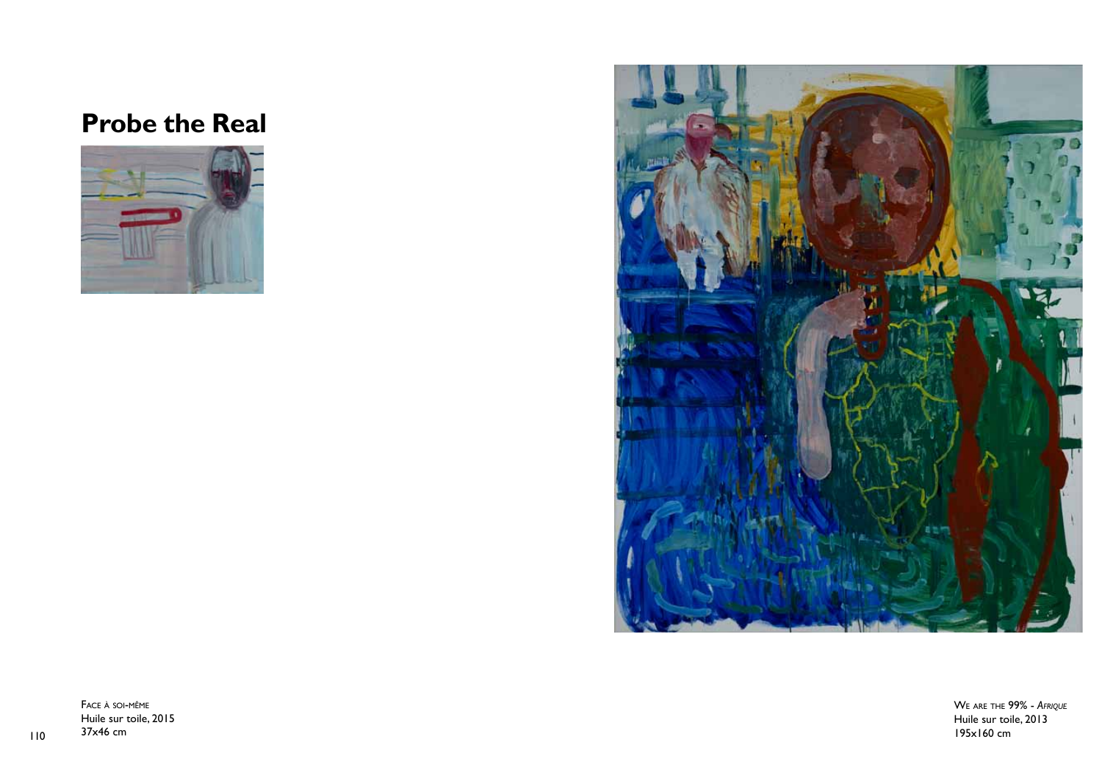# **Probe the Real**





110  $37x46$  cm  $195x160$  cm Face à soi-même Huile sur toile, 2015 37x46 cm

We are the 99% - *Afrique* Huile sur toile, 2013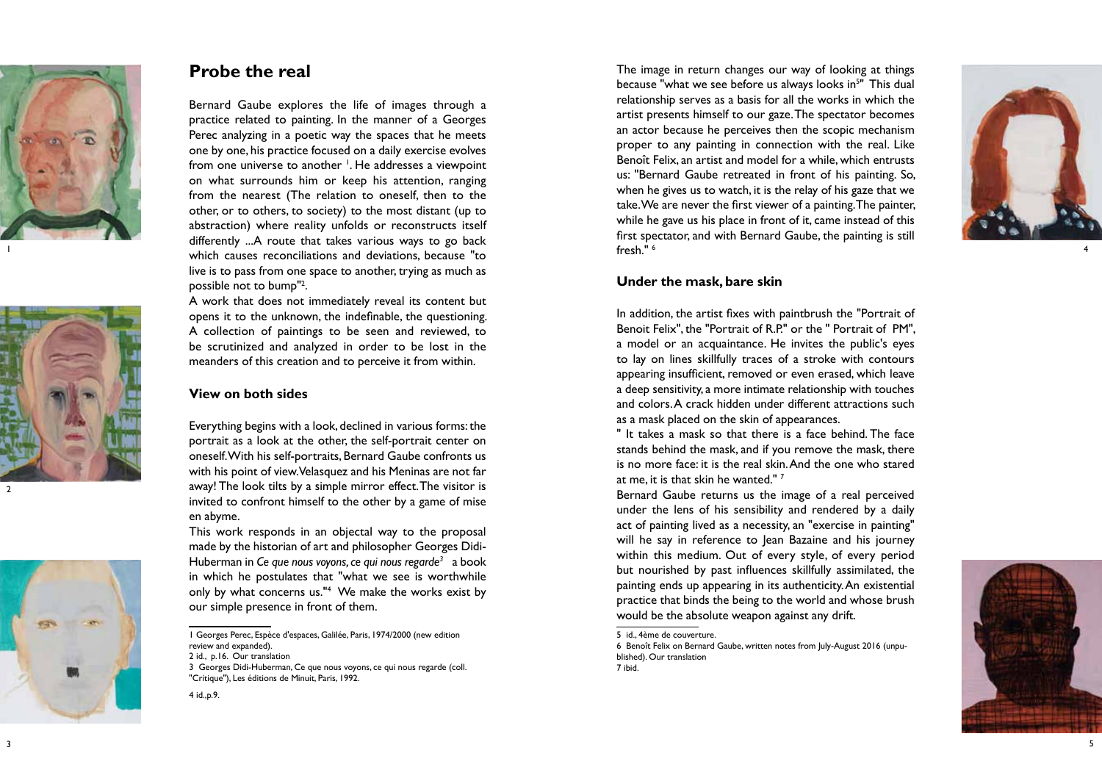





## **Probe the real**

Bernard Gaube explores the life of images through a practice related to painting. In the manner of a Georges Perec analyzing in a poetic way the spaces that he meets one by one, his practice focused on a daily exercise evolves from one universe to another 1 . He addresses a viewpoint on what surrounds him or keep his attention, ranging from the nearest (The relation to oneself, then to the other, or to others, to society) to the most distant (up to abstraction) where reality unfolds or reconstructs itself differently ...A route that takes various ways to go back which causes reconciliations and deviations, because "to live is to pass from one space to another, trying as much as possible not to bump" 2 .

A work that does not immediately reveal its content but opens it to the unknown, the indefinable, the questioning. A collection of paintings to be seen and reviewed, to be scrutinized and analyzed in order to be lost in the meanders of this creation and to perceive it from within.

## **View on both sides**

Everything begins with a look, declined in various forms: the portrait as a look at the other, the self-portrait center on oneself. With his self-portraits, Bernard Gaube confronts us with his point of view. Velasquez and his Meninas are not far away! The look tilts by a simple mirror effect. The visitor is invited to confront himself to the other by a game of mise en abyme.

This work responds in an objectal way to the proposal made by the historian of art and philosopher Georges Didi-Huberman in *Ce que nous voyons, ce qui nous regarde3* a book in which he postulates that "what we see is worthwhile only by what concerns us." 4 We make the works exist by our simple presence in front of them.

The image in return changes our way of looking at things because "what we see before us always looks in 5 " This dual relationship serves as a basis for all the works in which the artist presents himself to our gaze. The spectator becomes an actor because he perceives then the scopic mechanism proper to any painting in connection with the real. Like Benoît Felix, an artist and model for a while, which entrusts us: "Bernard Gaube retreated in front of his painting. So, when he gives us to watch, it is the relay of his gaze that we take. We are never the first viewer of a painting. The painter, while he gave us his place in front of it, came instead of this first spectator, and with Bernard Gaube, the painting is still fresh." 6



### **Under the mask, bare skin**

In addition, the artist fixes with paintbrush the "Portrait of Benoit Felix", the "Portrait of R.P." or the " Portrait of PM", a model or an acquaintance. He invites the public's eyes to lay on lines skillfully traces of a stroke with contours appearing insufficient, removed or even erased, which leave a deep sensitivity, a more intimate relationship with touches and colors. A crack hidden under different attractions such as a mask placed on the skin of appearances.

" It takes a mask so that there is a face behind. The face stands behind the mask, and if you remove the mask, there is no more face: it is the real skin. And the one who stared at me, it is that skin he wanted."  $^7$ 

Bernard Gaube returns us the image of a real perceived under the lens of his sensibility and rendered by a daily act of painting lived as a necessity, an "exercise in painting" will he say in reference to Jean Bazaine and his journey within this medium. Out of every style, of every period but nourished by past influences skillfully assimilated, the painting ends up appearing in its authenticity. An existential practice that binds the being to the world and whose brush would be the absolute weapon against any drift.

6 Benoît Felix on Bernard Gaube, written notes from July-August 2016 (unpu blished). Our translation 7 ibid.



<sup>1</sup> Georges Perec, Espèce d'espaces, Galilée, Paris, 1974/2000 (new edition review and expanded).

<sup>2</sup> id., p.16. Our translation

<sup>3</sup> Georges Didi-Huberman, Ce que nous voyons, ce qui nous regarde (coll. "Critique"), Les éditions de Minuit, Paris, 1992.

<sup>4</sup> id.,p.9.

<sup>5</sup> id., 4ème de couverture.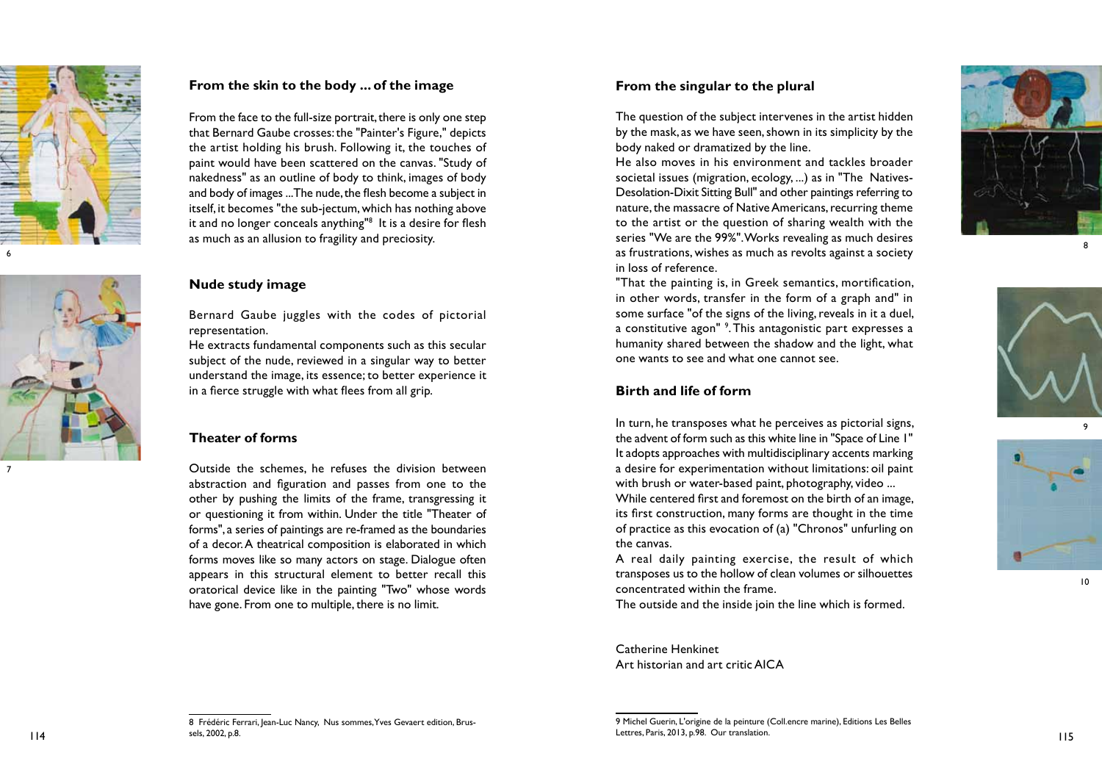



## **From the skin to the body ... of the image**

From the face to the full-size portrait, there is only one step that Bernard Gaube crosses: the "Painter's Figure," depicts the artist holding his brush. Following it, the touches of paint would have been scattered on the canvas. "Study of nakedness" as an outline of body to think, images of body and body of images ... The nude, the flesh become a subject in itself, it becomes "the sub-jectum, which has nothing above it and no longer conceals anything" 8 It is a desire for flesh as much as an allusion to fragility and preciosity.

#### **Nude study image**

Bernard Gaube juggles with the codes of pictorial representation.

He extracts fundamental components such as this secular subject of the nude, reviewed in a singular way to better understand the image, its essence; to better experience it in a fierce struggle with what flees from all grip.

## **Theater of forms**

Outside the schemes, he refuses the division between abstraction and figuration and passes from one to the other by pushing the limits of the frame, transgressing it or questioning it from within. Under the title "Theater of forms", a series of paintings are re-framed as the boundaries of a decor. A theatrical composition is elaborated in which forms moves like so many actors on stage. Dialogue often appears in this structural element to better recall this oratorical device like in the painting "Two" whose words have gone. From one to multiple, there is no limit.

## **From the singular to the plural**

The question of the subject intervenes in the artist hidden by the mask, as we have seen, shown in its simplicity by the body naked or dramatized by the line.

He also moves in his environment and tackles broader societal issues (migration, ecology, ...) as in "The Natives-Desolation-Dixit Sitting Bull" and other paintings referring to nature, the massacre of Native Americans, recurring theme to the artist or the question of sharing wealth with the series "We are the 99%". Works revealing as much desires as frustrations, wishes as much as revolts against a society in loss of reference.

"That the painting is, in Greek semantics, mortification, in other words, transfer in the form of a graph and" in some surface "of the signs of the living, reveals in it a duel, a constitutive agon" <sup>9</sup>. This antagonistic part expresses a humanity shared between the shadow and the light, what one wants to see and what one cannot see.

#### **Birth and life of form**

In turn, he transposes what he perceives as pictorial signs, the advent of form such as this white line in "Space of Line 1" It adopts approaches with multidisciplinary accents marking a desire for experimentation without limitations: oil paint with brush or water-based paint, photography, video ... While centered first and foremost on the birth of an image, its first construction, many forms are thought in the time of practice as this evocation of (a) "Chronos" unfurling on the canvas.

A real daily painting exercise, the result of which transposes us to the hollow of clean volumes or silhouettes concentrated within the frame.

The outside and the inside join the line which is formed.

Catherine Henkinet Art historian and art critic AICA



8



9



10

9 Michel Guerin, L'origine de la peinture (Coll.encre marine), Editions Les Belles Lettres, Paris, 2013, p.98. Our translation.  $114$  Lettres, Paris, 2013, p.78. Our translation.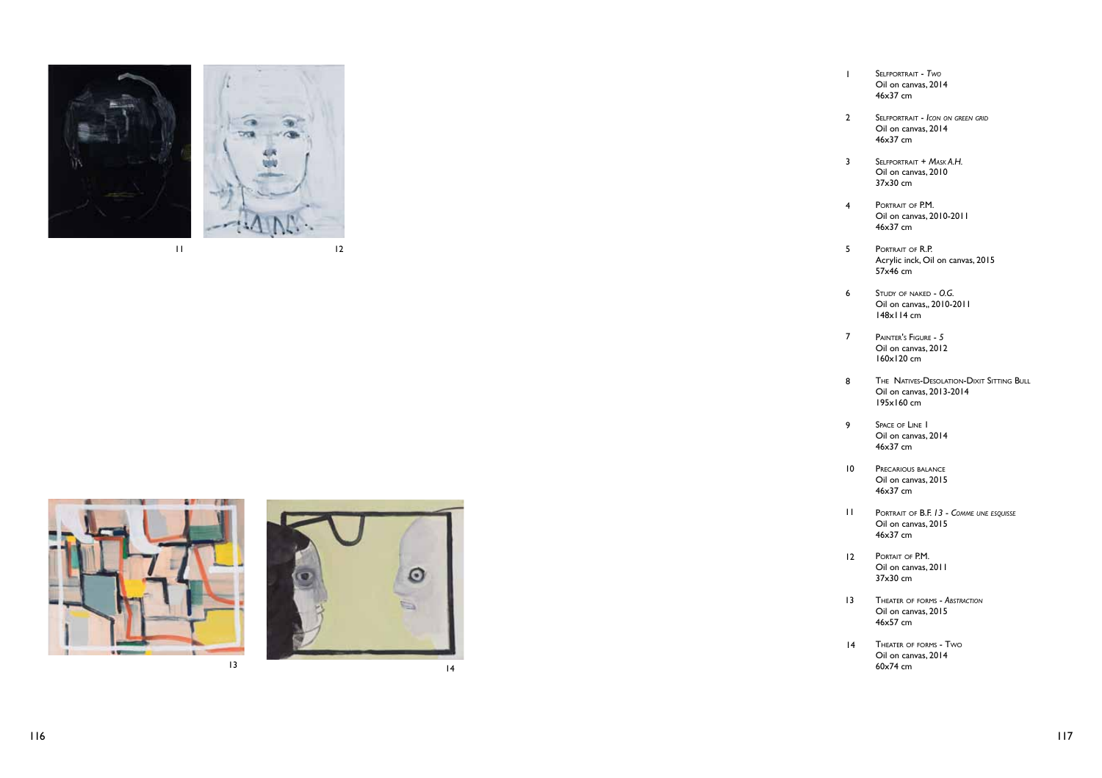

 $\frac{11}{2}$ 





Sel fportrait - *Two* Oil on canvas, 2014 46x37 cm

 $\mathbf{I}$ 

- $\overline{2}$ Selfportrait - *Icon on green grid* Oil on canvas, 2014 46x37 cm
- $\overline{3}$ Selfportrait + *M ask A.H.* Oil on canvas, 2010 37x30 cm
- $\overline{4}$ Portrait of P.M. f Oil on canvas, 2010-2011 46x37 cm
- $5<sup>1</sup>$ Portrait of R.P. f Acrylic inck, Oil on canvas, 2015 57x46 cm
- $6<sup>1</sup>$ Study of naked - *O G . .* Oil on canvas,, 2010-2011 148x114 cm
- $\overline{7}$ Painter's Figure - *5* Oil on canvas, 2012 160x120 cm
- 123456789  $\bf{8}$ The Natives-Desolation - Dixit Sitting Bull Oil on canvas, 2013-2014 195x160 cm
- $\overline{9}$ Space of Line 1 Oil on canvas, 2014 46x37 cm
- PRECARIOUS BALANCE Oil on canvas, 2015 46x37 cm 10
- Portrait <sup>o</sup> f B.F. *13 C omm e une esquisse* Oil on canvas, 2015 46x37 cm 11
- 12 PORTAIT OF P.M. Oil on canvas, 2011 37x30 cm
- 13 **THEATER OF FORMS ABSTRACTION** f Oil on canvas, 2015 46x57 cm
- 14 Theater of forms - Two f w Oil on canvas, 2014 60x74 cm